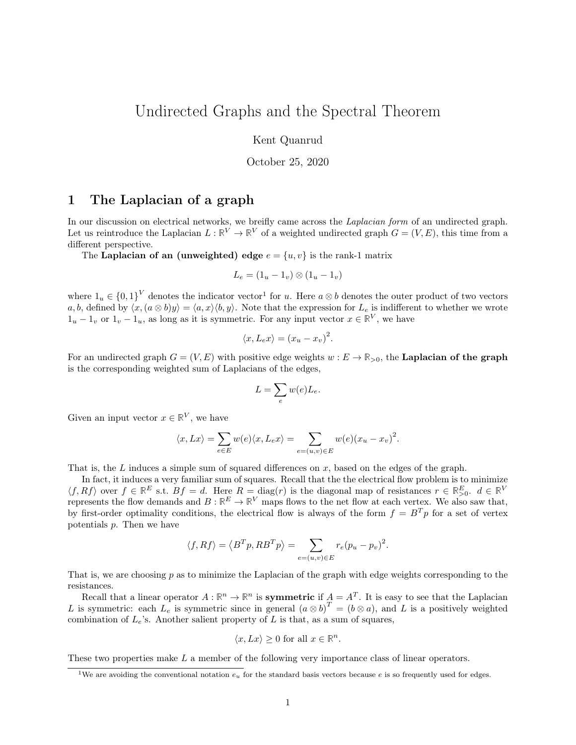# <span id="page-0-0"></span>Undirected Graphs and the Spectral Theorem

Kent Quanrud

October 25, 2020

## 1 The Laplacian of a graph

In our discussion on electrical networks, we breifly came across the *Laplacian form* of an undirected graph. Let us reintroduce the Laplacian  $L : \mathbb{R}^V \to \mathbb{R}^V$  of a weighted undirected graph  $G = (V, E)$ , this time from a different perspective.

The Laplacian of an (unweighted) edge  $e = \{u, v\}$  is the rank-1 matrix

$$
L_e = (1_u - 1_v) \otimes (1_u - 1_v)
$$

where  $1_u \in \{0,1\}^V$  denotes the indicator vector<sup>1</sup> for u. Here  $a \otimes b$  denotes the outer product of two vectors a, b, defined by  $\langle x,(a\otimes b)y\rangle = \langle a,x\rangle \langle b,y\rangle$ . Note that the expression for  $L_e$  is indifferent to whether we wrote  $1_u - 1_v$  or  $1_v - 1_u$ , as long as it is symmetric. For any input vector  $x \in \mathbb{R}^V$ , we have

$$
\langle x, L_e x \rangle = (x_u - x_v)^2.
$$

For an undirected graph  $G = (V, E)$  with positive edge weights  $w : E \to \mathbb{R}_{>0}$ , the **Laplacian of the graph** is the corresponding weighted sum of Laplacians of the edges,

$$
L = \sum_{e} w(e) L_e.
$$

Given an input vector  $x \in \mathbb{R}^V$ , we have

$$
\langle x, Lx \rangle = \sum_{e \in E} w(e) \langle x, L_e x \rangle = \sum_{e = (u, v) \in E} w(e) (x_u - x_v)^2.
$$

That is, the L induces a simple sum of squared differences on  $x$ , based on the edges of the graph.

In fact, it induces a very familiar sum of squares. Recall that the the electrical flow problem is to minimize  $\langle f, Rf \rangle$  over  $f \in \mathbb{R}^E$  s.t.  $Bf = d$ . Here  $R = \text{diag}(r)$  is the diagonal map of resistances  $r \in \mathbb{R}^E_{>0}$ .  $d \in \mathbb{R}^V$ represents the flow demands and  $B: \mathbb{R}^E \to \mathbb{R}^V$  maps flows to the net flow at each vertex. We also saw that, by first-order optimality conditions, the electrical flow is always of the form  $f = B^T p$  for a set of vertex potentials p. Then we have

$$
\langle f, Rf \rangle = \langle B^T p, R B^T p \rangle = \sum_{e = (u, v) \in E} r_e (p_u - p_v)^2.
$$

That is, we are choosing  $p$  as to minimize the Laplacian of the graph with edge weights corresponding to the resistances.

Recall that a linear operator  $A: \mathbb{R}^n \to \mathbb{R}^n$  is **symmetric** if  $A = A^T$ . It is easy to see that the Laplacian L is symmetric: each  $L_e$  is symmetric since in general  $(a \otimes b)^T = (b \otimes a)$ , and L is a positively weighted combination of  $L_e$ 's. Another salient property of  $L$  is that, as a sum of squares,

$$
\langle x, Lx \rangle \ge 0 \text{ for all } x \in \mathbb{R}^n.
$$

These two properties make L a member of the following very importance class of linear operators.

<sup>&</sup>lt;sup>1</sup>We are avoiding the conventional notation  $e_u$  for the standard basis vectors because e is so frequently used for edges.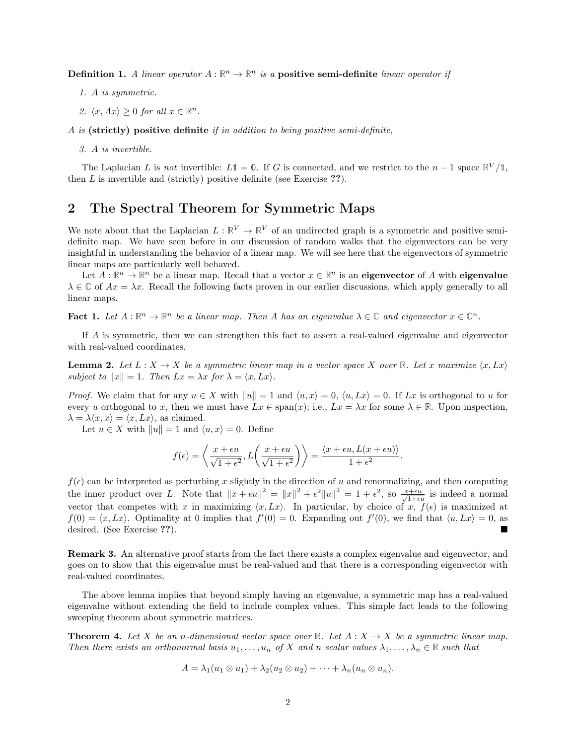**Definition 1.** A linear operator  $A : \mathbb{R}^n \to \mathbb{R}^n$  is a **positive semi-definite** linear operator if

- 1. A is symmetric.
- 2.  $\langle x, Ax \rangle \geq 0$  for all  $x \in \mathbb{R}^n$ .

A is (strictly) positive definite if in addition to being positive semi-definite,

3. A is invertible.

The Laplacian L is not invertible:  $L\mathbb{1} = \mathbb{0}$ . If G is connected, and we restrict to the  $n-1$  space  $\mathbb{R}^V/\mathbb{1}$ , then  $L$  is invertible and (strictly) positive definite (see Exercise  $?$ ?).

# 2 The Spectral Theorem for Symmetric Maps

We note about that the Laplacian  $L : \mathbb{R}^V \to \mathbb{R}^V$  of an undirected graph is a symmetric and positive semidefinite map. We have seen before in our discussion of random walks that the eigenvectors can be very insightful in understanding the behavior of a linear map. We will see here that the eigenvectors of symmetric linear maps are particularly well behaved.

Let  $A: \mathbb{R}^n \to \mathbb{R}^n$  be a linear map. Recall that a vector  $x \in \mathbb{R}^n$  is an eigenvector of A with eigenvalue  $\lambda \in \mathbb{C}$  of  $Ax = \lambda x$ . Recall the following facts proven in our earlier discussions, which apply generally to all linear maps.

**Fact 1.** Let  $A : \mathbb{R}^n \to \mathbb{R}^n$  be a linear map. Then A has an eigenvalue  $\lambda \in \mathbb{C}$  and eigenvector  $x \in \mathbb{C}^n$ .

If A is symmetric, then we can strengthen this fact to assert a real-valued eigenvalue and eigenvector with real-valued coordinates.

<span id="page-1-0"></span>**Lemma 2.** Let  $L : X \to X$  be a symmetric linear map in a vector space X over **R**. Let x maximize  $\langle x, Lx \rangle$ subject to  $||x|| = 1$ . Then  $Lx = \lambda x$  for  $\lambda = \langle x, Lx \rangle$ .

*Proof.* We claim that for any  $u \in X$  with  $||u|| = 1$  and  $\langle u, x \rangle = 0$ ,  $\langle u, Lx \rangle = 0$ . If Lx is orthogonal to u for every u orthogonal to x, then we must have  $Lx \in \text{span}(x)$ ; i.e.,  $Lx = \lambda x$  for some  $\lambda \in \mathbb{R}$ . Upon inspection,  $\lambda = \lambda \langle x, x \rangle = \langle x, Lx \rangle$ , as claimed.

Let  $u \in X$  with  $||u|| = 1$  and  $\langle u, x \rangle = 0$ . Define

$$
f(\epsilon) = \left\langle \frac{x + \epsilon u}{\sqrt{1 + \epsilon^2}}, L\left(\frac{x + \epsilon u}{\sqrt{1 + \epsilon^2}}\right) \right\rangle = \frac{\left\langle x + \epsilon u, L(x + \epsilon u) \right\rangle}{1 + \epsilon^2}.
$$

 $f(\epsilon)$  can be interpreted as perturbing x slightly in the direction of u and renormalizing, and then computing the inner product over L. Note that  $||x + \epsilon u||^2 = ||x||^2 + \epsilon^2 ||u||^2 = 1 + \epsilon^2$ , so  $\frac{x + \epsilon u}{\sqrt{1 + \epsilon u}}$  is indeed a normal vector that competes with x in maximizing  $\langle x, Lx \rangle$ . In particular, by choice of  $x, f(\epsilon)$  is maximized at  $f(0) = \langle x, Lx \rangle$ . Optimality at 0 implies that  $f'(0) = 0$ . Expanding out  $f'(0)$ , we find that  $\langle u, Lx \rangle = 0$ , as desired. (See Exercise ??).

Remark 3. An alternative proof starts from the fact there exists a complex eigenvalue and eigenvector, and goes on to show that this eigenvalue must be real-valued and that there is a corresponding eigenvector with real-valued coordinates.

The above lemma implies that beyond simply having an eigenvalue, a symmetric map has a real-valued eigenvalue without extending the field to include complex values. This simple fact leads to the following sweeping theorem about symmetric matrices.

<span id="page-1-1"></span>**Theorem 4.** Let X be an n-dimensional vector space over **R**. Let  $A: X \rightarrow X$  be a symmetric linear map. Then there exists an orthonormal basis  $u_1, \ldots, u_n$  of X and n scalar values  $\lambda_1, \ldots, \lambda_n \in \mathbb{R}$  such that

$$
A = \lambda_1(u_1 \otimes u_1) + \lambda_2(u_2 \otimes u_2) + \cdots + \lambda_n(u_n \otimes u_n).
$$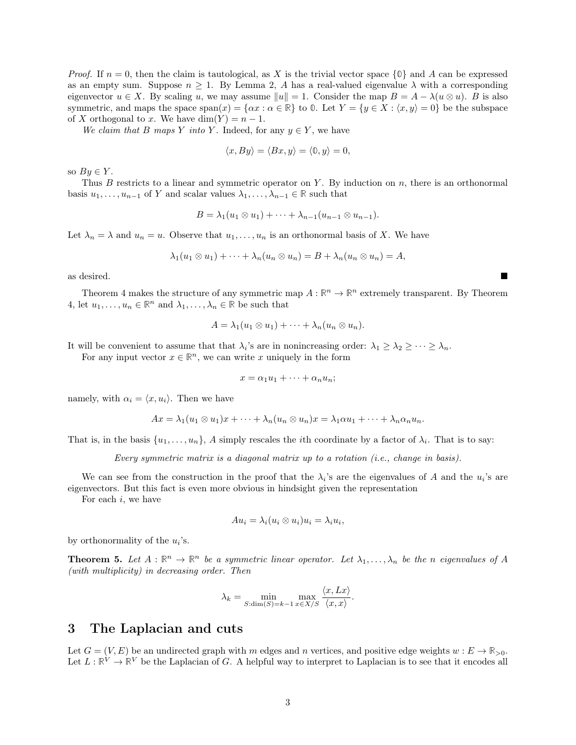*Proof.* If  $n = 0$ , then the claim is tautological, as X is the trivial vector space  $\{0\}$  and A can be expressed as an empty sum. Suppose  $n \geq 1$ . By [Lemma 2,](#page-1-0) A has a real-valued eigenvalue  $\lambda$  with a corresponding eigenvector  $u \in X$ . By scaling u, we may assume  $||u|| = 1$ . Consider the map  $B = A - \lambda (u \otimes u)$ . B is also symmetric, and maps the space  $\text{span}(x) = \{\alpha x : \alpha \in \mathbb{R}\}\)$  to  $\mathbb{0}$ . Let  $Y = \{y \in X : \langle x, y \rangle = 0\}$  be the subspace of X orthogonal to x. We have  $\dim(Y) = n - 1$ .

We claim that B maps Y into Y. Indeed, for any  $y \in Y$ , we have

$$
\langle x, By \rangle = \langle Bx, y \rangle = \langle 0, y \rangle = 0,
$$

so  $By \in Y$ .

Thus B restricts to a linear and symmetric operator on Y. By induction on n, there is an orthonormal basis  $u_1, \ldots, u_{n-1}$  of Y and scalar values  $\lambda_1, \ldots, \lambda_{n-1} \in \mathbb{R}$  such that

$$
B = \lambda_1(u_1 \otimes u_1) + \cdots + \lambda_{n-1}(u_{n-1} \otimes u_{n-1}).
$$

Let  $\lambda_n = \lambda$  and  $u_n = u$ . Observe that  $u_1, \ldots, u_n$  is an orthonormal basis of X. We have

$$
\lambda_1(u_1\otimes u_1)+\cdots+\lambda_n(u_n\otimes u_n)=B+\lambda_n(u_n\otimes u_n)=A,
$$

as desired.

[Theorem 4](#page-1-1) makes the structure of any symmetric map  $A: \mathbb{R}^n \to \mathbb{R}^n$  extremely transparent. By [Theorem](#page-1-1) [4,](#page-1-1) let  $u_1, \ldots, u_n \in \mathbb{R}^n$  and  $\lambda_1, \ldots, \lambda_n \in \mathbb{R}$  be such that

$$
A = \lambda_1(u_1 \otimes u_1) + \cdots + \lambda_n(u_n \otimes u_n).
$$

It will be convenient to assume that that  $\lambda_i$ 's are in nonincreasing order:  $\lambda_1 \geq \lambda_2 \geq \cdots \geq \lambda_n$ .

For any input vector  $x \in \mathbb{R}^n$ , we can write x uniquely in the form

$$
x = \alpha_1 u_1 + \dots + \alpha_n u_n;
$$

namely, with  $\alpha_i = \langle x, u_i \rangle$ . Then we have

$$
Ax = \lambda_1 (u_1 \otimes u_1)x + \cdots + \lambda_n (u_n \otimes u_n)x = \lambda_1 \alpha u_1 + \cdots + \lambda_n \alpha_n u_n.
$$

That is, in the basis  $\{u_1, \ldots, u_n\}$ , A simply rescales the *i*th coordinate by a factor of  $\lambda_i$ . That is to say:

Every symmetric matrix is a diagonal matrix up to a rotation (i.e., change in basis).

We can see from the construction in the proof that the  $\lambda_i$ 's are the eigenvalues of A and the  $u_i$ 's are eigenvectors. But this fact is even more obvious in hindsight given the representation

For each  $i$ , we have

$$
Au_i = \lambda_i (u_i \otimes u_i) u_i = \lambda_i u_i,
$$

by orthonormality of the  $u_i$ 's.

**Theorem 5.** Let  $A : \mathbb{R}^n \to \mathbb{R}^n$  be a symmetric linear operator. Let  $\lambda_1, \ldots, \lambda_n$  be the n eigenvalues of A (with multiplicity) in decreasing order. Then

$$
\lambda_k = \min_{S:\dim(S)=k-1} \max_{x \in X/S} \frac{\langle x, Lx \rangle}{\langle x, x \rangle}
$$

.

#### 3 The Laplacian and cuts

Let  $G = (V, E)$  be an undirected graph with m edges and n vertices, and positive edge weights  $w : E \to \mathbb{R}_{>0}$ . Let  $L: \mathbb{R}^V \to \mathbb{R}^V$  be the Laplacian of G. A helpful way to interpret to Laplacian is to see that it encodes all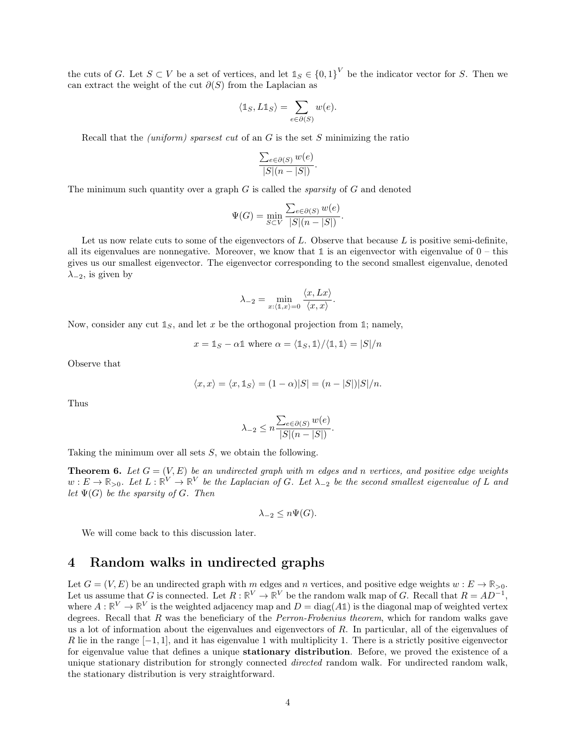the cuts of G. Let  $S \subset V$  be a set of vertices, and let  $\mathbb{1}_S \in \{0,1\}^V$  be the indicator vector for S. Then we can extract the weight of the cut  $\partial(S)$  from the Laplacian as

$$
\langle \mathbb{1}_S, L \mathbb{1}_S \rangle = \sum_{e \in \partial(S)} w(e).
$$

Recall that the *(uniform)* sparsest cut of an  $G$  is the set  $S$  minimizing the ratio

$$
\frac{\sum_{e \in \partial(S)} w(e)}{|S|(n-|S|)}.
$$

The minimum such quantity over a graph  $G$  is called the *sparsity* of  $G$  and denoted

$$
\Psi(G) = \min_{S \subset V} \frac{\sum_{e \in \partial(S)} w(e)}{|S|(n - |S|)}.
$$

Let us now relate cuts to some of the eigenvectors of  $L$ . Observe that because  $L$  is positive semi-definite. all its eigenvalues are nonnegative. Moreover, we know that  $\mathbb{1}$  is an eigenvector with eigenvalue of  $0 -$  this gives us our smallest eigenvector. The eigenvector corresponding to the second smallest eigenvalue, denoted  $\lambda_{-2}$ , is given by

$$
\lambda_{-2} = \min_{x:\langle \mathbb{1},x\rangle = 0} \frac{\langle x, Lx \rangle}{\langle x, x \rangle}.
$$

Now, consider any cut  $\mathbb{1}_S$ , and let x be the orthogonal projection from  $\mathbb{1}$ ; namely,

$$
x = \mathbb{1}_S - \alpha \mathbb{1}
$$
 where  $\alpha = \langle \mathbb{1}_S, \mathbb{1} \rangle / \langle \mathbb{1}, \mathbb{1} \rangle = |S| / n$ 

Observe that

$$
\langle x, x \rangle = \langle x, \mathbb{1}_S \rangle = (1 - \alpha)|S| = (n - |S|)|S|/n.
$$

Thus

$$
\lambda_{-2} \le n \frac{\sum_{e \in \partial(S)} w(e)}{|S|(n-|S|)}.
$$

Taking the minimum over all sets S, we obtain the following.

**Theorem 6.** Let  $G = (V, E)$  be an undirected graph with m edges and n vertices, and positive edge weights  $w: E \to \mathbb{R}_{>0}$ . Let  $L: \mathbb{R}^V \to \mathbb{R}^V$  be the Laplacian of G. Let  $\lambda_{-2}$  be the second smallest eigenvalue of L and let  $\Psi(G)$  be the sparsity of G. Then

$$
\lambda_{-2} \leq n\Psi(G).
$$

We will come back to this discussion later.

### 4 Random walks in undirected graphs

Let  $G = (V, E)$  be an undirected graph with m edges and n vertices, and positive edge weights  $w : E \to \mathbb{R}_{>0}$ . Let us assume that G is connected. Let  $R: \mathbb{R}^V \to \mathbb{R}^V$  be the random walk map of G. Recall that  $R = AD^{-1}$ , where  $A: \mathbb{R}^V \to \mathbb{R}^V$  is the weighted adjacency map and  $D = \text{diag}(A\mathbb{1})$  is the diagonal map of weighted vertex degrees. Recall that R was the beneficiary of the *Perron-Frobenius theorem*, which for random walks gave us a lot of information about the eigenvalues and eigenvectors of R. In particular, all of the eigenvalues of R lie in the range  $[-1, 1]$ , and it has eigenvalue 1 with multiplicity 1. There is a strictly positive eigenvector for eigenvalue value that defines a unique stationary distribution. Before, we proved the existence of a unique stationary distribution for strongly connected *directed* random walk. For undirected random walk, the stationary distribution is very straightforward.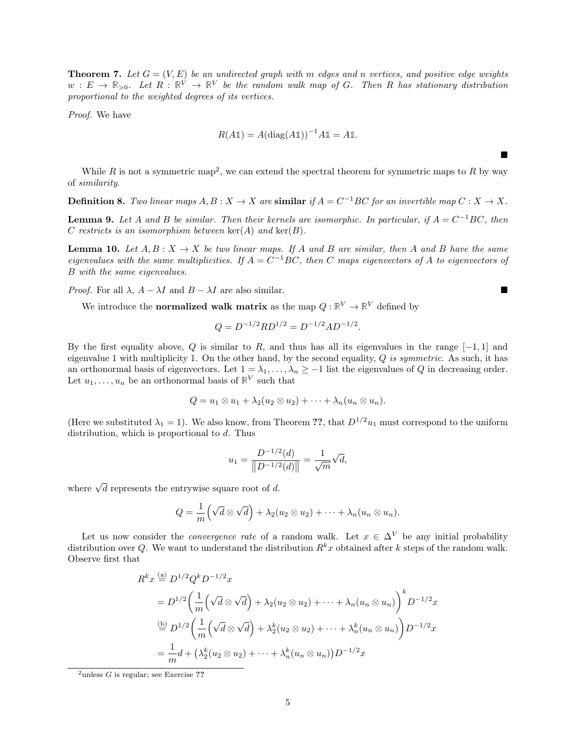**Theorem 7.** Let  $G = (V, E)$  be an undirected graph with m edges and n vertices, and positive edge weights  $w: E \to \mathbb{R}_{>0}$ . Let  $R: \mathbb{R}^V \to \mathbb{R}^V$  be the random walk map of G. Then R has stationary distribution proportional to the weighted degrees of its vertices.

Proof. We have

$$
R(A\mathbb{1}) = A(\text{diag}(A\mathbb{1}))^{-1}A\mathbb{1} = A\mathbb{1}.
$$

 $\blacksquare$ 

While R is not a symmetric map<sup>[2](#page-0-0)</sup>, we can extend the spectral theorem for symmetric maps to R by way of similarity.

**Definition 8.** Two linear maps  $A, B: X \to X$  are similar if  $A = C^{-1}BC$  for an invertible map  $C: X \to X$ .

**Lemma 9.** Let A and B be similar. Then their kernels are isomorphic. In particular, if  $A = C^{-1}BC$ , then C restricts is an isomorphism between  $\ker(A)$  and  $\ker(B)$ .

**Lemma 10.** Let  $A, B: X \to X$  be two linear maps. If A and B are similar, then A and B have the same eigenvalues with the same multiplicities. If  $A = C^{-1}BC$ , then C maps eigenvectors of A to eigenvectors of B with the same eigenvalues.

*Proof.* For all  $\lambda$ ,  $A - \lambda I$  and  $B - \lambda I$  are also similar.

We introduce the **normalized walk matrix** as the map  $Q: \mathbb{R}^V \to \mathbb{R}^V$  defined by

$$
Q = D^{-1/2} R D^{1/2} = D^{-1/2} A D^{-1/2}.
$$

By the first equality above, Q is similar to R, and thus has all its eigenvalues in the range  $[-1,1]$  and eigenvalue 1 with multiplicity 1. On the other hand, by the second equality,  $Q$  is symmetric. As such, it has an orthonormal basis of eigenvectors. Let  $1 = \lambda_1, \ldots, \lambda_n \ge -1$  list the eigenvalues of Q in decreasing order. Let  $u_1, \ldots, u_n$  be an orthonormal basis of  $\mathbb{R}^V$  such that

$$
Q = u_1 \otimes u_1 + \lambda_2 (u_2 \otimes u_2) + \cdots + \lambda_n (u_n \otimes u_n).
$$

(Here we substituted  $\lambda_1 = 1$ ). We also know, from Theorem ??, that  $D^{1/2}u_1$  must correspond to the uniform distribution, which is proportional to d. Thus

$$
u_1 = \frac{D^{-1/2}(d)}{\|D^{-1/2}(d)\|} = \frac{1}{\sqrt{m}}\sqrt{d},
$$

where  $\sqrt{d}$  represents the entrywise square root of d.

$$
Q = \frac{1}{m} (\sqrt{d} \otimes \sqrt{d}) + \lambda_2 (u_2 \otimes u_2) + \cdots + \lambda_n (u_n \otimes u_n).
$$

Let us now consider the *convergence rate* of a random walk. Let  $x \in \Delta^V$  be any initial probability distribution over Q. We want to understand the distribution  $R^k x$  obtained after k steps of the random walk. Observe first that

$$
R^k x \stackrel{\text{(a)}}{=} D^{1/2} Q^k D^{-1/2} x
$$
  
= 
$$
D^{1/2} \left( \frac{1}{m} \left( \sqrt{d} \otimes \sqrt{d} \right) + \lambda_2 (u_2 \otimes u_2) + \dots + \lambda_n (u_n \otimes u_n) \right)^k D^{-1/2} x
$$
  

$$
\stackrel{\text{(b)}}{=} D^{1/2} \left( \frac{1}{m} \left( \sqrt{d} \otimes \sqrt{d} \right) + \lambda_2^k (u_2 \otimes u_2) + \dots + \lambda_n^k (u_n \otimes u_n) \right) D^{-1/2} x
$$
  
= 
$$
\frac{1}{m} d + \left( \lambda_2^k (u_2 \otimes u_2) + \dots + \lambda_n^k (u_n \otimes u_n) \right) D^{-1/2} x
$$

 $^{2}$ unless G is regular; see Exercise ??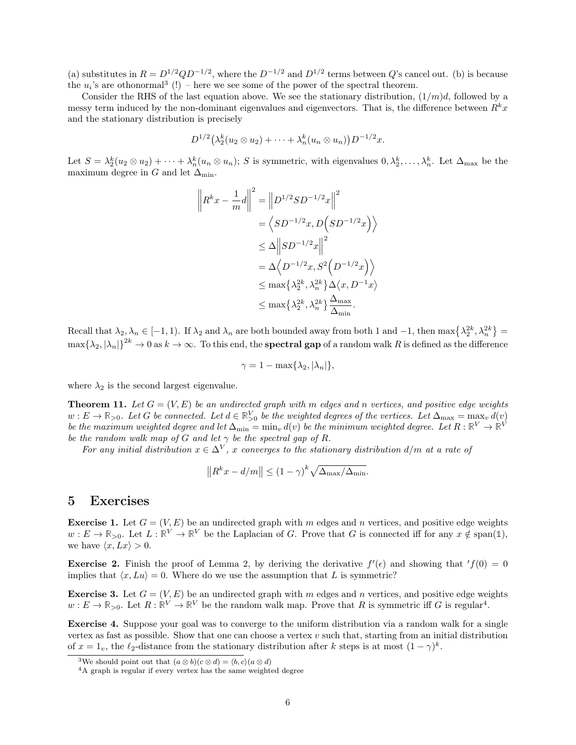(a) substitutes in  $R = D^{1/2} Q D^{-1/2}$ , where the  $D^{-1/2}$  and  $D^{1/2}$  terms between Q's cancel out. (b) is because the  $u_i$ 's are othonormal<sup>[3](#page-0-0)</sup> (!) – here we see some of the power of the spectral theorem.

Consider the RHS of the last equation above. We see the stationary distribution,  $(1/m)d$ , followed by a messy term induced by the non-dominant eigenvalues and eigenvectors. That is, the difference between  $R^kx$ and the stationary distribution is precisely

$$
D^{1/2}(\lambda_2^k(u_2\otimes u_2)+\cdots+\lambda_n^k(u_n\otimes u_n))D^{-1/2}x.
$$

Let  $S = \lambda_2^k (u_2 \otimes u_2) + \cdots + \lambda_n^k (u_n \otimes u_n)$ ; S is symmetric, with eigenvalues  $0, \lambda_2^k, \ldots, \lambda_n^k$ . Let  $\Delta_{\text{max}}$  be the maximum degree in G and let  $\Delta_{\min}$ .

$$
\left\| R^k x - \frac{1}{m} d \right\|^2 = \left\| D^{1/2} S D^{-1/2} x \right\|^2
$$
  

$$
= \left\langle S D^{-1/2} x, D \left( S D^{-1/2} x \right) \right\rangle
$$
  

$$
\leq \Delta \left\| S D^{-1/2} x \right\|^2
$$
  

$$
= \Delta \left\langle D^{-1/2} x, S^2 \left( D^{-1/2} x \right) \right\rangle
$$
  

$$
\leq \max \left\{ \lambda_2^{2k}, \lambda_n^{2k} \right\} \Delta \left\langle x, D^{-1} x \right\rangle
$$
  

$$
\leq \max \left\{ \lambda_2^{2k}, \lambda_n^{2k} \right\} \frac{\Delta_{\max}}{\Delta_{\min}}.
$$

Recall that  $\lambda_2, \lambda_n \in [-1,1)$ . If  $\lambda_2$  and  $\lambda_n$  are both bounded away from both 1 and  $-1$ , then  $\max\{\lambda_2^{2k}, \lambda_n^{2k}\}$  $\max{\{\lambda_2, |\lambda_n|\}}^{2k} \to 0$  as  $k \to \infty$ . To this end, the **spectral gap** of a random walk R is defined as the difference

$$
\gamma = 1 - \max\{\lambda_2, |\lambda_n|\},
$$

where  $\lambda_2$  is the second largest eigenvalue.

**Theorem 11.** Let  $G = (V, E)$  be an undirected graph with m edges and n vertices, and positive edge weights  $w: E \to \mathbb{R}_{>0}$ . Let G be connected. Let  $d \in \mathbb{R}_{>0}^V$  be the weighted degrees of the vertices. Let  $\Delta_{\max} = \max_v d(v)$ be the maximum weighted degree and let  $\Delta_{\min} = \min_v d(v)$  be the minimum weighted degree. Let  $R : \mathbb{R}^V \to \mathbb{R}^V$ be the random walk map of G and let  $\gamma$  be the spectral gap of R.

For any initial distribution  $x \in \Delta^V$ , x converges to the stationary distribution  $d/m$  at a rate of

$$
||R^kx - d/m|| \le (1 - \gamma)^k \sqrt{\Delta_{\max}/\Delta_{\min}}.
$$

#### 5 Exercises

**Exercise 1.** Let  $G = (V, E)$  be an undirected graph with m edges and n vertices, and positive edge weights  $w: E \to \mathbb{R}_{>0}$ . Let  $L: \mathbb{R}^V \to \mathbb{R}^V$  be the Laplacian of G. Prove that G is connected iff for any  $x \notin \text{span}(\mathbb{1}),$ we have  $\langle x, Lx \rangle > 0$ .

**Exercise 2.** Finish the proof of [Lemma 2,](#page-1-0) by deriving the derivative  $f'(\epsilon)$  and showing that  $'f(0) = 0$ implies that  $\langle x, Lu \rangle = 0$ . Where do we use the assumption that L is symmetric?

**Exercise 3.** Let  $G = (V, E)$  be an undirected graph with m edges and n vertices, and positive edge weights  $w: E \to \mathbb{R}_{>0}$ . Let  $R: \mathbb{R}^V \to \mathbb{R}^V$  be the random walk map. Prove that R is symmetric iff G is regular<sup>[4](#page-0-0)</sup>.

Exercise 4. Suppose your goal was to converge to the uniform distribution via a random walk for a single vertex as fast as possible. Show that one can choose a vertex  $v$  such that, starting from an initial distribution of  $x = 1_v$ , the  $\ell_2$ -distance from the stationary distribution after k steps is at most  $(1 - \gamma)^k$ .

<sup>&</sup>lt;sup>3</sup>We should point out that  $(a \otimes b)(c \otimes d) = \langle b, c \rangle (a \otimes d)$ 

<sup>4</sup>A graph is regular if every vertex has the same weighted degree